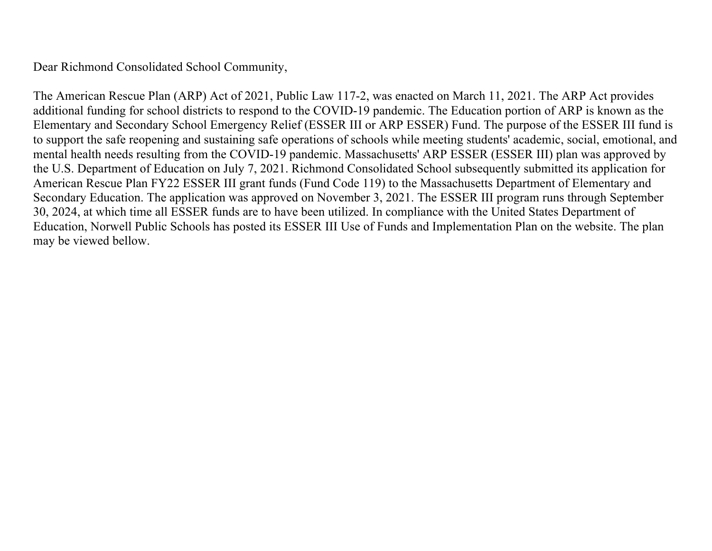Dear Richmond Consolidated School Community,

The American Rescue Plan (ARP) Act of 2021, Public Law 117-2, was enacted on March 11, 2021. The ARP Act provides additional funding for school districts to respond to the COVID-19 pandemic. The Education portion of ARP is known as the Elementary and Secondary School Emergency Relief (ESSER III or ARP ESSER) Fund. The purpose of the ESSER III fund is to support the safe reopening and sustaining safe operations of schools while meeting students' academic, social, emotional, and mental health needs resulting from the COVID-19 pandemic. Massachusetts' ARP ESSER (ESSER III) plan was approved by the U.S. Department of Education on July 7, 2021. Richmond Consolidated School subsequently submitted its application for American Rescue Plan FY22 ESSER III grant funds (Fund Code 119) to the Massachusetts Department of Elementary and Secondary Education. The application was approved on November 3, 2021. The ESSER III program runs through September 30, 2024, at which time all ESSER funds are to have been utilized. In compliance with the United States Department of Education, Norwell Public Schools has posted its ESSER III Use of Funds and Implementation Plan on the website. The plan may be viewed bellow.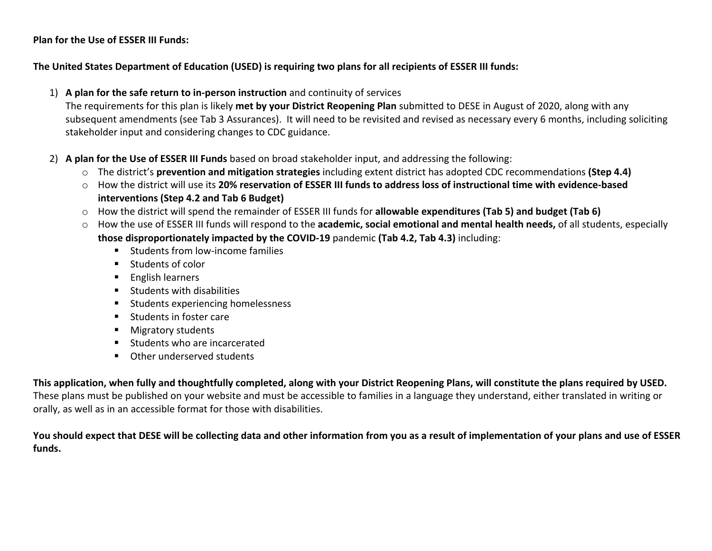## **Plan for the Use of ESSER III Funds:**

## **The United States Department of Education (USED) is requiring two plans for all recipients of ESSER III funds:**

1) **A plan for the safe return to in-person instruction** and continuity of services

The requirements for this plan is likely **met by your District Reopening Plan** submitted to DESE in August of 2020, along with any subsequent amendments (see Tab 3 Assurances). It will need to be revisited and revised as necessary every 6 months, including soliciting stakeholder input and considering changes to CDC guidance.

- 2) **A plan for the Use of ESSER III Funds** based on broad stakeholder input, and addressing the following:
	- o The district's **prevention and mitigation strategies** including extent district has adopted CDC recommendations **(Step 4.4)**
	- o How the district will use its **20% reservation of ESSER III funds to address loss of instructional time with evidence-based interventions (Step 4.2 and Tab 6 Budget)**
	- o How the district will spend the remainder of ESSER III funds for **allowable expenditures (Tab 5) and budget (Tab 6)**
	- o How the use of ESSER III funds will respond to the **academic, social emotional and mental health needs,** of all students, especially **those disproportionately impacted by the COVID-19** pandemic **(Tab 4.2, Tab 4.3)** including:
		- Students from low-income families
		- Students of color
		- English learners
		- Students with disabilities
		- Students experiencing homelessness
		- Students in foster care
		- Migratory students
		- Students who are incarcerated
		- Other underserved students

**This application, when fully and thoughtfully completed, along with your District Reopening Plans, will constitute the plans required by USED.** These plans must be published on your website and must be accessible to families in a language they understand, either translated in writing or

orally, as well as in an accessible format for those with disabilities.

**You should expect that DESE will be collecting data and other information from you as a result of implementation of your plans and use of ESSER funds.**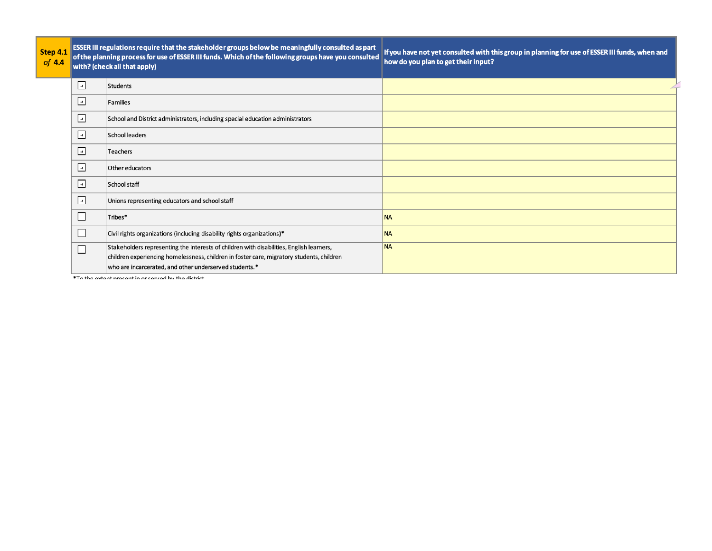| itep 4.1<br>$of$ 4.4 |                          | ESSER III regulations require that the stakeholder groups below be meaningfully consulted as part<br>of the planning process for use of ESSER III funds. Which of the following groups have you consulted<br>with? (check all that apply)       | If you have not yet consulted with this group in planning for use of ESSER III funds, when and<br>how do you plan to get their input? |
|----------------------|--------------------------|-------------------------------------------------------------------------------------------------------------------------------------------------------------------------------------------------------------------------------------------------|---------------------------------------------------------------------------------------------------------------------------------------|
|                      | ⊡                        | Students                                                                                                                                                                                                                                        |                                                                                                                                       |
|                      | $\Box$                   | Families                                                                                                                                                                                                                                        |                                                                                                                                       |
|                      | $\overline{\mathcal{A}}$ | School and District administrators, including special education administrators                                                                                                                                                                  |                                                                                                                                       |
|                      | $\overline{u}$           | School leaders                                                                                                                                                                                                                                  |                                                                                                                                       |
|                      | $\Box$                   | Teachers                                                                                                                                                                                                                                        |                                                                                                                                       |
|                      | $\Box$                   | Other educators                                                                                                                                                                                                                                 |                                                                                                                                       |
|                      | $\overline{u}$           | School staff                                                                                                                                                                                                                                    |                                                                                                                                       |
|                      | $\Box$                   | Unions representing educators and school staff                                                                                                                                                                                                  |                                                                                                                                       |
|                      | $\Box$                   | Tribes*                                                                                                                                                                                                                                         | <b>NA</b>                                                                                                                             |
|                      | □                        | Civil rights organizations (including disability rights organizations)*                                                                                                                                                                         | <b>NA</b>                                                                                                                             |
|                      | $\Box$                   | Stakeholders representing the interests of children with disabilities, English learners,<br>children experiencing homelessness, children in foster care, migratory students, children<br>who are incarcerated, and other underserved students.* | <b>NA</b>                                                                                                                             |

\*To the evtent nrecent in or cansed by the dictrict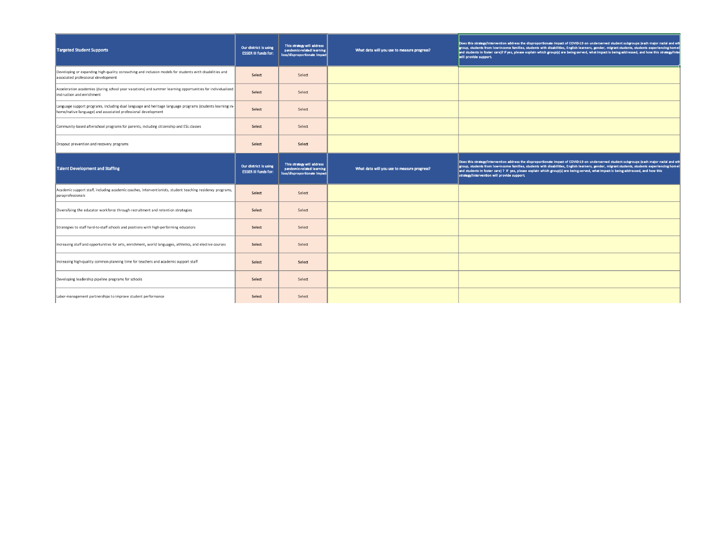| <b>Targeted Student Supports</b>                                                                                                                                          | Our district is using<br><b>ESSER III funds for:</b> | This strategy will address<br>pandemic-related learning<br>loss/disproportionate impact | What data will you use to measure progress? | Does this strategy/intervention address the disproportionate impact of COVID-19 on underserved student subgroups (each major racial and eth<br>group, students from low-income families, students with disabilities, English learners, gender, migrant students, students experiencing homel<br>and students in foster care)? If yes, please explain which group(s) are being served, what impact is being addressed, and how this strategy/inter<br>will provide support.         |
|---------------------------------------------------------------------------------------------------------------------------------------------------------------------------|------------------------------------------------------|-----------------------------------------------------------------------------------------|---------------------------------------------|------------------------------------------------------------------------------------------------------------------------------------------------------------------------------------------------------------------------------------------------------------------------------------------------------------------------------------------------------------------------------------------------------------------------------------------------------------------------------------|
| Developing or expanding high quality co-teaching and inclusion models for students with disabilities and<br>associated professional development                           | Select                                               | Select                                                                                  |                                             |                                                                                                                                                                                                                                                                                                                                                                                                                                                                                    |
| Acceleration academies (during school year vacations) and summer learning opportunities for individualized<br>instruction and enrichment                                  | Select                                               | Select                                                                                  |                                             |                                                                                                                                                                                                                                                                                                                                                                                                                                                                                    |
| Language support programs, including dual language and heritage language programs (students learning in-<br>home/native language) and associated professional development | Select                                               | Select                                                                                  |                                             |                                                                                                                                                                                                                                                                                                                                                                                                                                                                                    |
| Community-based afterschool programs for parents, induding citizenship and ESL classes                                                                                    | Select                                               | Select                                                                                  |                                             |                                                                                                                                                                                                                                                                                                                                                                                                                                                                                    |
| Dropout prevention and recovery programs                                                                                                                                  | Select                                               | Select                                                                                  |                                             |                                                                                                                                                                                                                                                                                                                                                                                                                                                                                    |
| <b>Talent Development and Staffing</b>                                                                                                                                    | Our district is using<br><b>ESSER III funds for:</b> | This strategy will address<br>pandemic-related learning<br>loss/disproportionate impact | What data will you use to measure progress? | Does this strategy/intervention address the disproportionate impact of COVID-19 on underserved student subgroups (each major racial and eth<br>group, students from low-income families, students with disabilities, English learners, gender, migrant students, students experiencing homel<br>and students in foster care) ? If yes, please explain which group(s) are being served, what impact is being addressed, and how this<br>strategy/intervention will provide support. |
| Academic support staff, including academic coaches, interventionists, student teaching residency programs,<br>paraprofessionals                                           | Select                                               | Select                                                                                  |                                             |                                                                                                                                                                                                                                                                                                                                                                                                                                                                                    |
| Diversifying the educator workforce through recruitment and retention strategies                                                                                          | Select                                               | Select                                                                                  |                                             |                                                                                                                                                                                                                                                                                                                                                                                                                                                                                    |
| Strategies to staff hard-to-staff schools and positions with high-performing educators                                                                                    | Select                                               | Select                                                                                  |                                             |                                                                                                                                                                                                                                                                                                                                                                                                                                                                                    |
| Increasing staff and opportunities for arts, enrichment, world languages, athletics, and elective courses                                                                 | Select                                               | Select                                                                                  |                                             |                                                                                                                                                                                                                                                                                                                                                                                                                                                                                    |
| Increasing high-quality common planning time for teachers and academic support staff                                                                                      | Select                                               | Select                                                                                  |                                             |                                                                                                                                                                                                                                                                                                                                                                                                                                                                                    |
| Developing leadership pipeline programs for schools                                                                                                                       | Select                                               | Select                                                                                  |                                             |                                                                                                                                                                                                                                                                                                                                                                                                                                                                                    |
| Labor-management partnerships to improve student performance                                                                                                              |                                                      |                                                                                         |                                             |                                                                                                                                                                                                                                                                                                                                                                                                                                                                                    |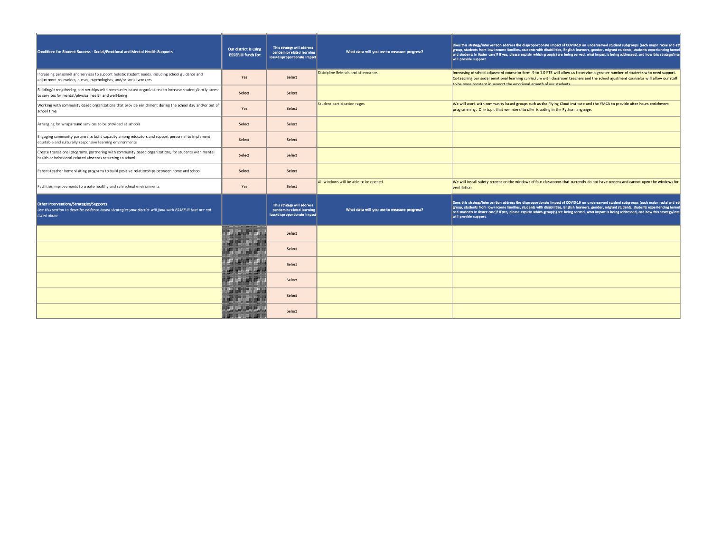| <b>Conditions for Student Success - Social/Emotional and Mental Health Supports</b>                                                                                       | Our district is using<br><b>ESSER III funds for:</b> | This strategy will address<br>pandemic-related learning<br>loss/disproportionate impact | What data will you use to measure progress? | Does this strategy/intervention address the disproportionate impact of COVID-19 on underserved student subgroups (each major racial and eth<br>group, students from low-income families, students with disabilities, English learners, gender, migrant students, students experiencing home<br>and students in foster care)? If yes, please explain which group(s) are being served, what impact is being addressed, and how this strategy/inte<br>will provide support. |
|---------------------------------------------------------------------------------------------------------------------------------------------------------------------------|------------------------------------------------------|-----------------------------------------------------------------------------------------|---------------------------------------------|--------------------------------------------------------------------------------------------------------------------------------------------------------------------------------------------------------------------------------------------------------------------------------------------------------------------------------------------------------------------------------------------------------------------------------------------------------------------------|
| Increasing personnel and services to support holistic student needs, including school guidance and<br>adjustment counselors, nurses, psychologists, and/or social workers | Yes                                                  | Select                                                                                  | Disicipline Referals and attendance.        | Increasing of school adjusment counselor form .9 to 1.0 FTE will allow us to service a greater number of students who need support.<br>Co-teaching our social emotional learning curriculum with classroom teachers and the school ajustment counselor will allow our staff<br>to be more constent in support the emotional growth of our students                                                                                                                       |
| Building/strengthening partnerships with community-based organizations to increase student/family access<br>to services for mental/physical health and well-being         | Select                                               | Select                                                                                  |                                             |                                                                                                                                                                                                                                                                                                                                                                                                                                                                          |
| Working with community-based organizations that provide enrichment during the school day and/or out of<br>school time                                                     | Yes                                                  | Select                                                                                  | Student participation rages                 | We will work with community based groups such as the Flying Cloud Institute and the YMCA to provide after hours enrichment<br>programming. One topic that we intend to offer is coding in the Python language.                                                                                                                                                                                                                                                           |
| Arranging for wraparound services to be provided at schools                                                                                                               | Select                                               | Select                                                                                  |                                             |                                                                                                                                                                                                                                                                                                                                                                                                                                                                          |
| Engaging community partners to build capacity among educators and support personnel to implement<br>equitable and culturally responsive learning environments             | Select                                               | Select                                                                                  |                                             |                                                                                                                                                                                                                                                                                                                                                                                                                                                                          |
| Create transitional programs, partnering with community based organizations, for students with mental<br>health or behavioral-related absences returning to school        | Select                                               | Select                                                                                  |                                             |                                                                                                                                                                                                                                                                                                                                                                                                                                                                          |
| Parent-teacher home visiting programs to build positive relationships between home and school                                                                             | Select                                               | Select                                                                                  |                                             |                                                                                                                                                                                                                                                                                                                                                                                                                                                                          |
| Facilities improvements to create healthy and safe school environments                                                                                                    | Yes                                                  | Select                                                                                  | All windows will be able to be opened.      | We will install safety screens on the windows of four classrooms that currently do not have screens and cannot open the windows for<br>ventilation.                                                                                                                                                                                                                                                                                                                      |
| Other Interventions/Strategies/Supports<br>Use this section to describe evidence-based strategies your district will fund with ESSER III that are not<br>listed above     |                                                      | This strategy will address<br>pandemic-related learning<br>loss/disproportionate impact | What data will you use to measure progress? | Does this strategy/intervention address the disproportionate impact of COVID-19 on underserved student subgroups (each major racial and eth<br>group, students from low-income families, students with disabilities, English learners, gender, migrant students, students experiencing home<br>and students in foster care)? If yes, please explain which group(s) are being served, what impact is being addressed, and how this strategy/inte<br>will provide support. |
|                                                                                                                                                                           |                                                      | Select                                                                                  |                                             |                                                                                                                                                                                                                                                                                                                                                                                                                                                                          |
|                                                                                                                                                                           |                                                      | Select                                                                                  |                                             |                                                                                                                                                                                                                                                                                                                                                                                                                                                                          |
|                                                                                                                                                                           |                                                      | Select                                                                                  |                                             |                                                                                                                                                                                                                                                                                                                                                                                                                                                                          |
|                                                                                                                                                                           |                                                      | Select                                                                                  |                                             |                                                                                                                                                                                                                                                                                                                                                                                                                                                                          |
|                                                                                                                                                                           |                                                      | Select                                                                                  |                                             |                                                                                                                                                                                                                                                                                                                                                                                                                                                                          |
|                                                                                                                                                                           | YMMMMMMMMMMM                                         | Select                                                                                  |                                             |                                                                                                                                                                                                                                                                                                                                                                                                                                                                          |